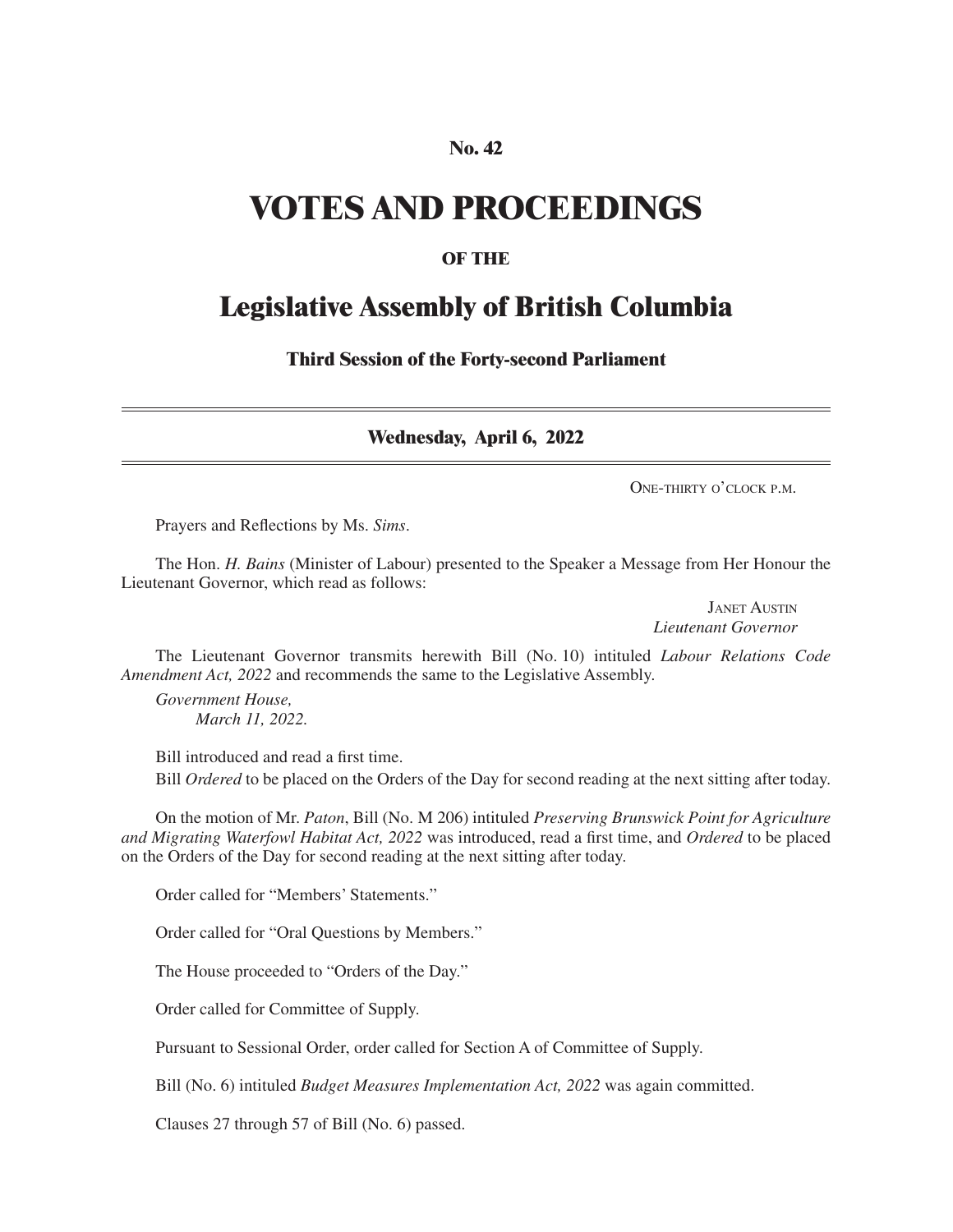#### **No. 42**

# **VOTES AND PROCEEDINGS**

#### **OF THE**

## **Legislative Assembly of British Columbia**

**Third Session of the Forty-second Parliament**

**Wednesday, April 6, 2022**

One-thirty o'clock p.m.

Prayers and Reflections by Ms. *Sims*.

The Hon. *H. Bains* (Minister of Labour) presented to the Speaker a Message from Her Honour the Lieutenant Governor, which read as follows:

> Janet Austin *Lieutenant Governor*

The Lieutenant Governor transmits herewith Bill (No. 10) intituled *Labour Relations Code Amendment Act, 2022* and recommends the same to the Legislative Assembly.

*Government House, March 11, 2022.*

Bill introduced and read a first time. Bill *Ordered* to be placed on the Orders of the Day for second reading at the next sitting after today.

On the motion of Mr. *Paton*, Bill (No. M 206) intituled *Preserving Brunswick Point for Agriculture and Migrating Waterfowl Habitat Act, 2022* was introduced, read a first time, and *Ordered* to be placed on the Orders of the Day for second reading at the next sitting after today.

Order called for "Members' Statements."

Order called for "Oral Questions by Members."

The House proceeded to "Orders of the Day."

Order called for Committee of Supply.

Pursuant to Sessional Order, order called for Section A of Committee of Supply.

Bill (No. 6) intituled *Budget Measures Implementation Act, 2022* was again committed.

Clauses 27 through 57 of Bill (No. 6) passed.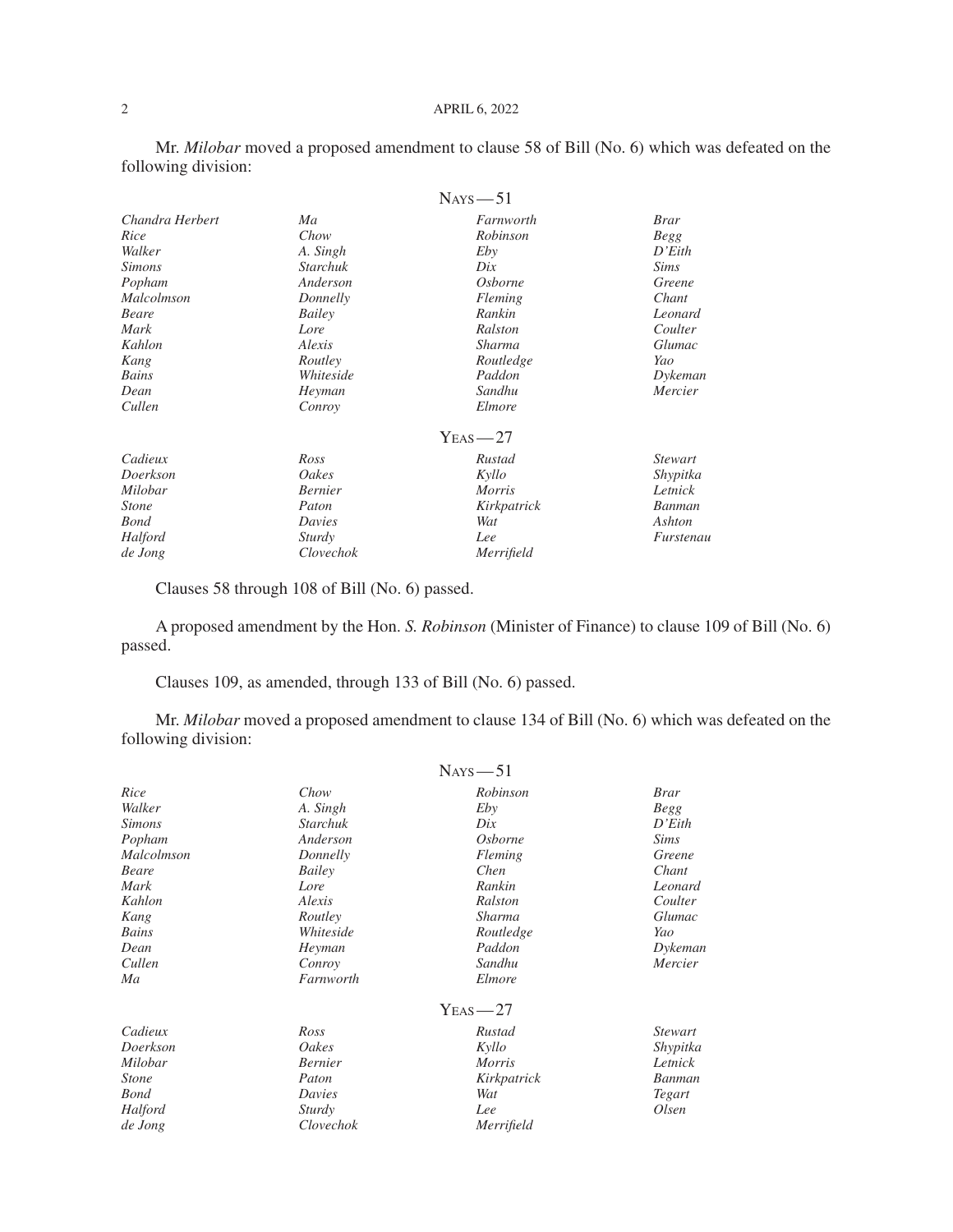#### 2 APRIL 6, 2022

Mr. *Milobar* moved a proposed amendment to clause 58 of Bill (No. 6) which was defeated on the following division:

|                 |                 | $N_{AYS}$ - 51 |                |
|-----------------|-----------------|----------------|----------------|
| Chandra Herbert | Ma              | Farnworth      | <b>Brar</b>    |
| Rice            | Chow            | Robinson       | <b>Begg</b>    |
| Walker          | A. Singh        | Eby            | D'Eith         |
| <i>Simons</i>   | <b>Starchuk</b> | Dix            | <b>Sims</b>    |
| Popham          | Anderson        | <i>Osborne</i> | Greene         |
| Malcolmson      | Donnelly        | Fleming        | Chant          |
| Beare           | Bailey          | Rankin         | Leonard        |
| Mark            | Lore            | Ralston        | Coulter        |
| Kahlon          | Alexis          | Sharma         | Glumac         |
| Kang            | Routley         | Routledge      | Yao            |
| Bains           | Whiteside       | Paddon         | Dykeman        |
| Dean            | Heyman          | Sandhu         | Mercier        |
| Cullen          | Conroy          | Elmore         |                |
|                 |                 | $Y_{EAS}$ - 27 |                |
| Cadieux         | Ross            | Rustad         | <i>Stewart</i> |
| Doerkson        | Oakes           | Kyllo          | Shypitka       |
| Milobar         | <b>Bernier</b>  | <i>Morris</i>  | Letnick        |
| <i>Stone</i>    | Paton           | Kirkpatrick    | Banman         |
| <b>Bond</b>     | Davies          | Wat            | Ashton         |
| Halford         | Sturdy          | Lee            | Furstenau      |
| de Jong         | Clovechok       | Merrifield     |                |

Clauses 58 through 108 of Bill (No. 6) passed.

A proposed amendment by the Hon. *S. Robinson* (Minister of Finance) to clause 109 of Bill (No. 6) passed.

Clauses 109, as amended, through 133 of Bill (No. 6) passed.

Mr. *Milobar* moved a proposed amendment to clause 134 of Bill (No. 6) which was defeated on the following division:

|               |                 | $N_{AYS}$ - 51 |                      |
|---------------|-----------------|----------------|----------------------|
| Rice          | Chow            | Robinson       | <b>Brar</b>          |
| Walker        | A. Singh        | Eby            | <b>Begg</b>          |
| <b>Simons</b> | <b>Starchuk</b> | Dix            | $D' \mathcal{E}$ ith |
| Popham        | Anderson        | <i>Osborne</i> | <b>Sims</b>          |
| Malcolmson    | Donnelly        | Fleming        | Greene               |
| <b>Beare</b>  | Bailey          | Chen           | Chant                |
| Mark          | Lore            | Rankin         | Leonard              |
| Kahlon        | Alexis          | Ralston        | Coulter              |
| Kang          | Routley         | Sharma         | Glumac               |
| Bains         | Whiteside       | Routledge      | Yao                  |
| Dean          | Heyman          | Paddon         | Dykeman              |
| Cullen        | Conroy          | Sandhu         | Mercier              |
| Ma            | Farnworth       | Elmore         |                      |
|               |                 | $YEAS - 27$    |                      |
| Cadieux       | Ross            | Rustad         | <i>Stewart</i>       |
| Doerkson      | Oakes           | Kyllo          | Shypitka             |
| Milobar       | <b>Bernier</b>  | <i>Morris</i>  | Letnick              |
| <i>Stone</i>  | Paton           | Kirkpatrick    | Banman               |
| <b>Bond</b>   | Davies          | Wat            | Tegart               |
| Halford       | Sturdy          | Lee            | Olsen                |
| de Jong       | Clovechok       | Merrifield     |                      |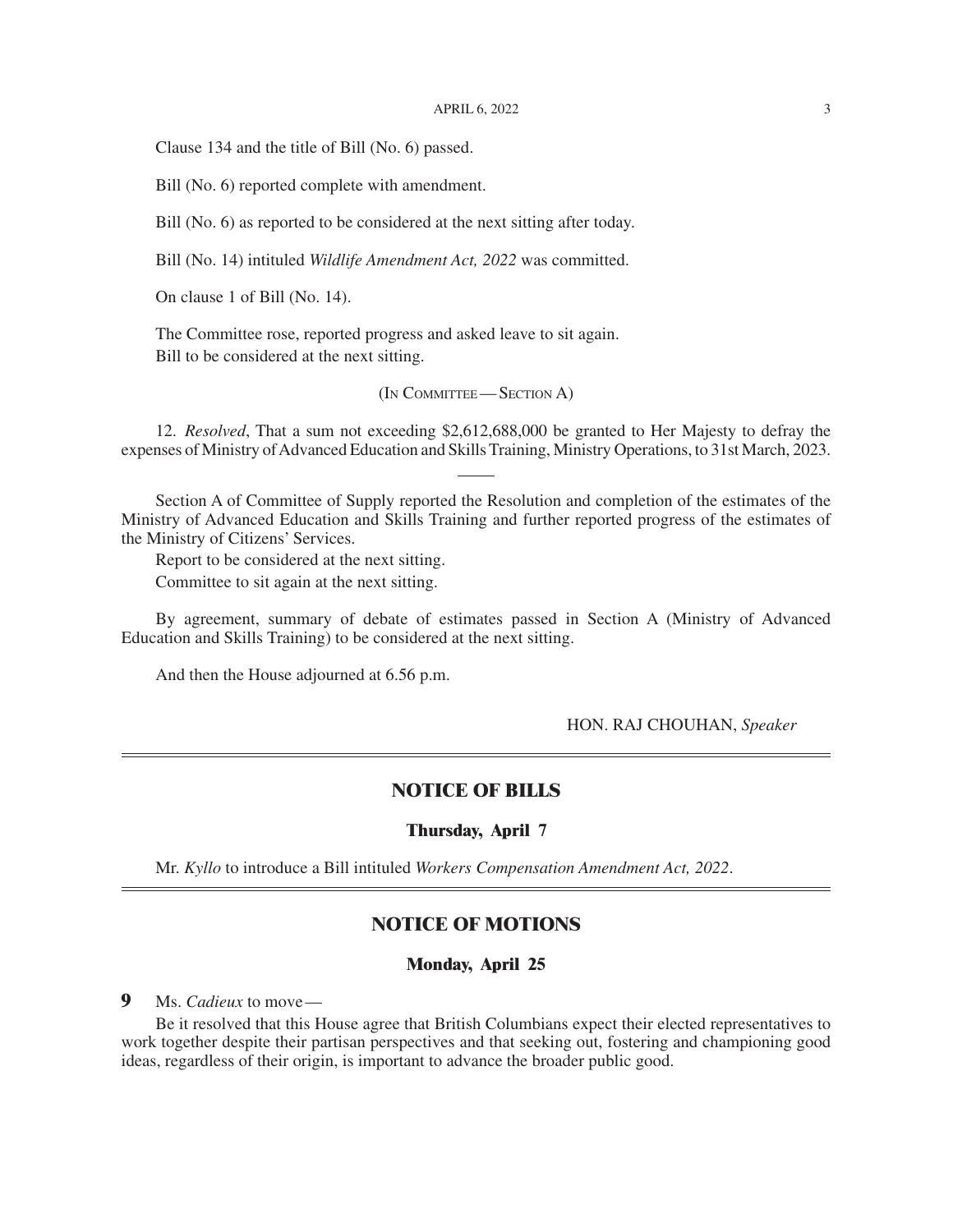Clause 134 and the title of Bill (No. 6) passed.

Bill (No. 6) reported complete with amendment.

Bill (No. 6) as reported to be considered at the next sitting after today.

Bill (No. 14) intituled *Wildlife Amendment Act, 2022* was committed.

On clause 1 of Bill (No. 14).

The Committee rose, reported progress and asked leave to sit again. Bill to be considered at the next sitting.

(In Committee— Section A)

12. *Resolved*, That a sum not exceeding \$2,612,688,000 be granted to Her Majesty to defray the expenses of Ministry of Advanced Education and Skills Training, Ministry Operations, to 31st March, 2023.

Section A of Committee of Supply reported the Resolution and completion of the estimates of the Ministry of Advanced Education and Skills Training and further reported progress of the estimates of the Ministry of Citizens' Services.

Report to be considered at the next sitting. Committee to sit again at the next sitting.

By agreement, summary of debate of estimates passed in Section A (Ministry of Advanced Education and Skills Training) to be considered at the next sitting.

And then the House adjourned at 6.56 p.m.

HON. RAJ CHOUHAN, *Speaker*

#### **NOTICE OF BILLS**

#### **Thursday, April 7**

Mr. *Kyllo* to introduce a Bill intituled *Workers Compensation Amendment Act, 2022*.

### **NOTICE OF MOTIONS**

#### **Monday, April 25**

**9** Ms. *Cadieux* to move—

Be it resolved that this House agree that British Columbians expect their elected representatives to work together despite their partisan perspectives and that seeking out, fostering and championing good ideas, regardless of their origin, is important to advance the broader public good.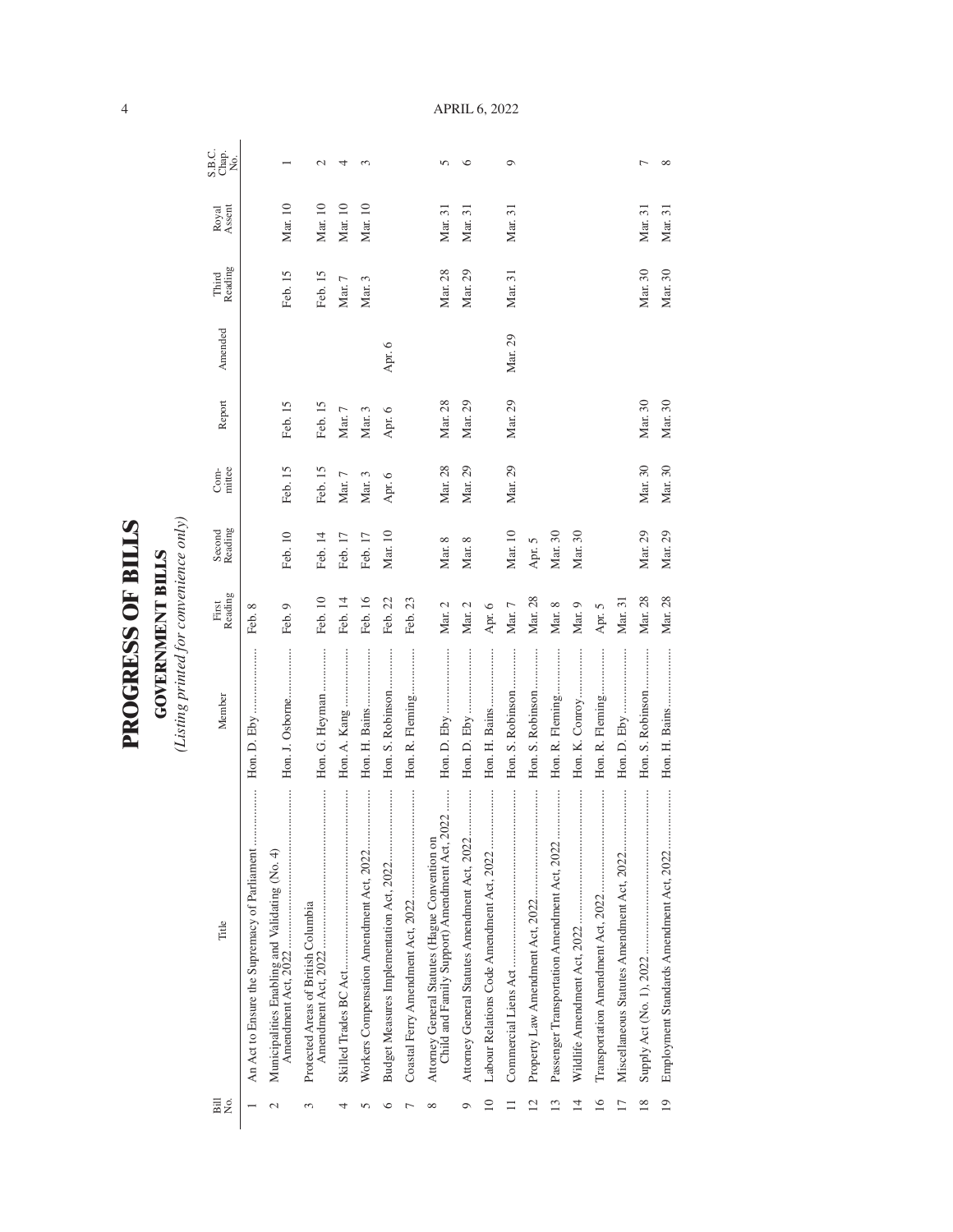| ١           |
|-------------|
|             |
| ŗ           |
| ļ           |
|             |
|             |
|             |
| $\zeta$     |
|             |
|             |
| C<br>L<br>L |
|             |
|             |
|             |
|             |
|             |
|             |
|             |

**GOVERNMENT BILLS**<br>(Listing printed for convenience only) *(Listing printed for convenience only)*

**GOVERNMENT BILLS**

| Bill<br>N⊙.     | Title                                                                                              | Member           | Reading<br>First | Second<br>Reading | mittee<br>Com- | Report   | Amended | Reading<br>Third | Royal<br>Assent | S.B.C.<br>Chap.<br>No. |
|-----------------|----------------------------------------------------------------------------------------------------|------------------|------------------|-------------------|----------------|----------|---------|------------------|-----------------|------------------------|
|                 |                                                                                                    |                  | Feb. 8           |                   |                |          |         |                  |                 |                        |
| $\mathcal{C}$   | Municipalities Enabling and Validating (No. 4)                                                     | Hon. J. Osborne  | Feb. 9           | Feb. 10           | Feb. 15        | Feb. 15  |         | Feb. 15          | Mar. 10         |                        |
| $\sim$          | Protected Areas of British Columbia                                                                | Hon. G. Heyman   | Feb. 10          | Feb. 14           | Feb. 15        | Feb. 15  |         | Feb. 15          | Mar. 10         | $\mathbf{\sim}$        |
| 4               |                                                                                                    |                  | Feb. 14          | Feb. 17           | Mar. 7         | Mar. $7$ |         | Mar. 7           | Mar. 10         | 4                      |
|                 |                                                                                                    |                  | Feb. 16          | Feb. 17           | Mar. 3         | Mar. 3   |         | Mar. 3           | Mar. 10         | ç                      |
| ٥               |                                                                                                    | Hon. S. Robinson | Feb. 22          | Mar. 10           | Apr. 6         | Apr. 6   | Apr. 6  |                  |                 |                        |
|                 |                                                                                                    | Hon. R. Fleming  | Feb. 23          |                   |                |          |         |                  |                 |                        |
| ∞               | 2022<br>Attorney General Statutes (Hague Convention or<br>Child and Family Support) Amendment Act, |                  | Mar. 2           | Mar. 8            | Mar. 28        | Mar. 28  |         | Mar. 28          | Mar. 31         | $\sqrt{2}$             |
| Ò               |                                                                                                    |                  | Mar. 2           | Mar. 8            | Mar. 29        | Mar. 29  |         | Mar. 29          | Mar. 31         | ७                      |
| $\overline{10}$ |                                                                                                    |                  | Apr. 6           |                   |                |          |         |                  |                 |                        |
|                 |                                                                                                    | Hon. S. Robinson | Mar. 7           | Mar. 10           | Mar. 29        | Mar. 29  | Mar. 29 | Mar. 31          | Mar. 31         | Ó                      |
| $\overline{12}$ |                                                                                                    | Hon. S. Robinson | Mar. 28          | Apr. 5            |                |          |         |                  |                 |                        |
| 13              |                                                                                                    | Hon. R. Fleming  | Mar. 8           | Mar. 30           |                |          |         |                  |                 |                        |
| $\overline{1}$  |                                                                                                    | Hon. K. Conroy   | Mar. 9           | Mar. 30           |                |          |         |                  |                 |                        |
| 16              |                                                                                                    | Hon. R. Fleming  | Apr. 5           |                   |                |          |         |                  |                 |                        |
| $\overline{17}$ |                                                                                                    |                  | Mar. 31          |                   |                |          |         |                  |                 |                        |
| $\frac{8}{2}$   |                                                                                                    | Hon. S. Robinson | Mar. 28          | Mar. 29           | Mar. 30        | Mar. 30  |         | Mar. 30          | Mar. 31         |                        |
| $\overline{19}$ |                                                                                                    |                  | Mar. 28          | Mar. 29           | Mar. 30        | Mar. 30  |         | Mar. 30          | Mar. 31         | $\infty$               |

APRIL 6, 2022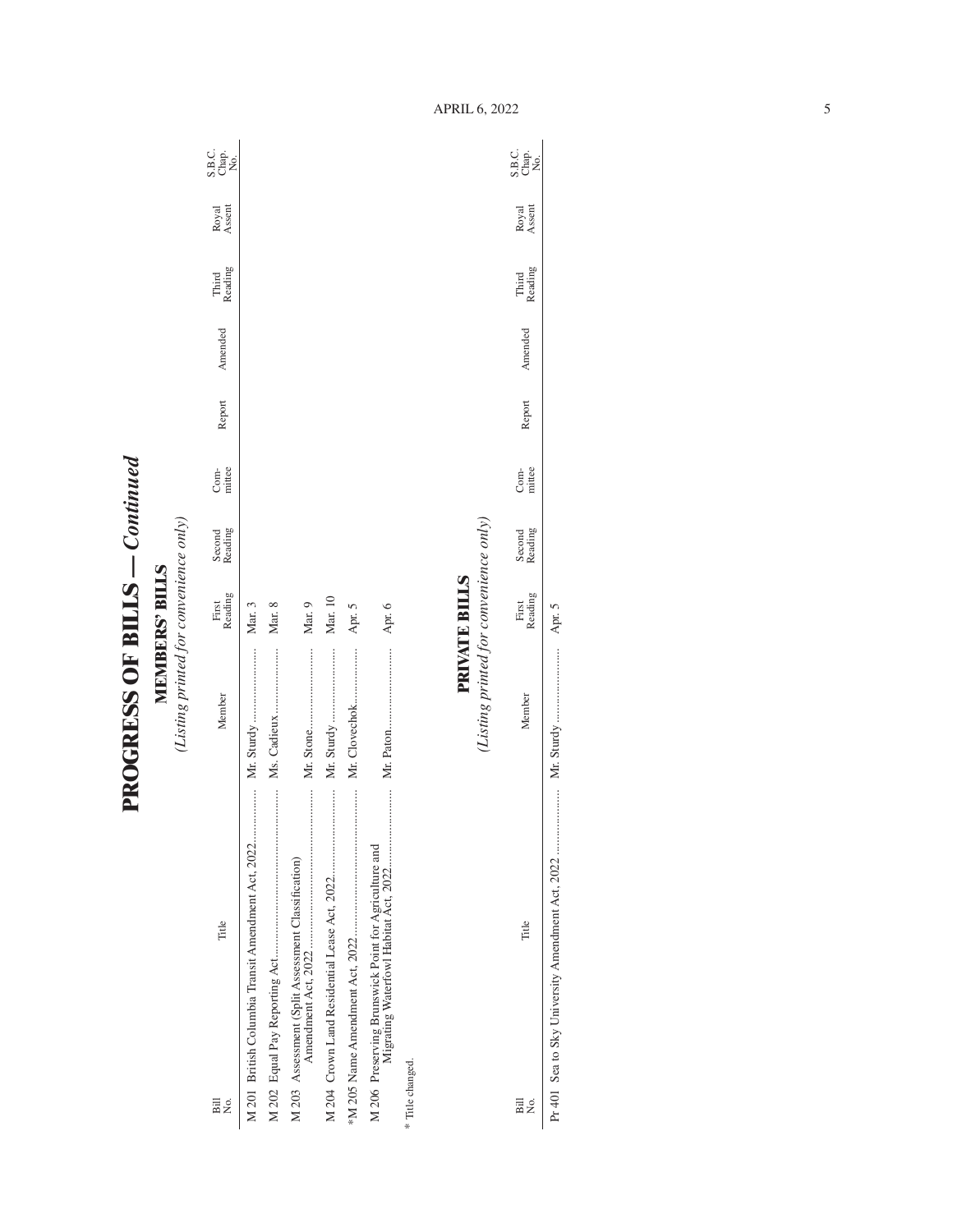**PROGRESS OF BILLS - Continued PROGRESS OF BILLS** *— Continued*

**MEMBERS' BILLS**<br>(Listing printed for convenience only) *(Listing printed for convenience only)***MEMBERS' BILLS**

| Title<br>Bill<br>Σó                                  | Member                                 | Reading<br>First | Second<br>Reading | Com-<br>mittee | Report | Amended | Third<br>Reading | Royal<br>Assent | ci gi<br>Sida<br>Sida |
|------------------------------------------------------|----------------------------------------|------------------|-------------------|----------------|--------|---------|------------------|-----------------|-----------------------|
|                                                      |                                        | Mar. 3           |                   |                |        |         |                  |                 |                       |
|                                                      |                                        | Mar. 8           |                   |                |        |         |                  |                 |                       |
| M 203 Assessment (Split Assessment Classification)   |                                        | Mar. 9           |                   |                |        |         |                  |                 |                       |
|                                                      | Mr. Sturdy                             | Mar. 10          |                   |                |        |         |                  |                 |                       |
|                                                      | Mr. Clovechok                          | Apr. 5           |                   |                |        |         |                  |                 |                       |
| M 206 Preserving Brunswick Point for Agriculture and |                                        | Apr. 6           |                   |                |        |         |                  |                 |                       |
| * Title changed.                                     |                                        |                  |                   |                |        |         |                  |                 |                       |
|                                                      | (Listing printed for convenience only) | PRIVATE BILLS    |                   |                |        |         |                  |                 |                       |

| Bill<br>2. | Title | ember | <b>CAULLE</b><br>$\frac{1}{2}$<br>ن<br>تا 1 | cadung<br>second | muttee<br>ミっ | eport | à | cading<br>Third | Royal<br>ssen<br>$\overline{\phantom{a}}$ | S.B.C.<br>Chap.<br>ż |
|------------|-------|-------|---------------------------------------------|------------------|--------------|-------|---|-----------------|-------------------------------------------|----------------------|
|            |       |       | i                                           |                  |              |       |   |                 |                                           |                      |

APRIL 6, 2022